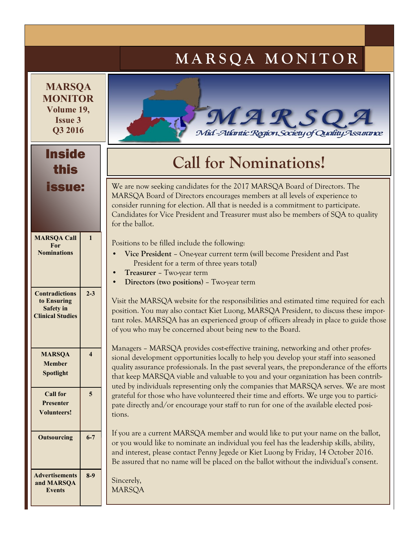# **M A R S Q A M O N I T O R**

**MARSQA MONITOR Volume 19, Issue 3 Q3 2016**

### Inside this issue:

| <b>MARSQA Call</b><br>For<br><b>Nominations</b>                                     | 1       |
|-------------------------------------------------------------------------------------|---------|
| <b>Contradictions</b><br>to Ensuring<br><b>Safety</b> in<br><b>Clinical Studies</b> | $2 - 3$ |
| <b>MARSOA</b><br><b>Member</b><br>Spotlight                                         | 4       |
| <b>Call for</b><br>Presenter<br>Volunteers!                                         | 5       |
| <b>Outsourcing</b>                                                                  | $6 - 7$ |
| <b>Advertisements</b><br>and MARSQA<br><b>Events</b>                                | $8-9$   |



# **Call for Nominations!**

We are now seeking candidates for the 2017 MARSQA Board of Directors. The MARSQA Board of Directors encourages members at all levels of experience to consider running for election. All that is needed is a commitment to participate. Candidates for Vice President and Treasurer must also be members of SQA to quality for the ballot.

Positions to be filled include the following:

- **Vice President**  One-year current term (will become President and Past President for a term of three years total)
- **Treasurer**  Two-year term
- **Directors** (**two positions**) Two-year term

Visit the MARSQA website for the responsibilities and estimated time required for each position. You may also contact Kiet Luong, MARSQA President, to discuss these important roles. MARSQA has an experienced group of officers already in place to guide those of you who may be concerned about being new to the Board.

Managers – MARSQA provides cost-effective training, networking and other professional development opportunities locally to help you develop your staff into seasoned quality assurance professionals. In the past several years, the preponderance of the efforts that keep MARSQA viable and valuable to you and your organization has been contributed by individuals representing only the companies that MARSQA serves. We are most grateful for those who have volunteered their time and efforts. We urge you to participate directly and/or encourage your staff to run for one of the available elected positions.

If you are a current MARSQA member and would like to put your name on the ballot, or you would like to nominate an individual you feel has the leadership skills, ability, and interest, please contact Penny Jegede or Kiet Luong by Friday, 14 October 2016. Be assured that no name will be placed on the ballot without the individual's consent.

Sincerely, MARSQA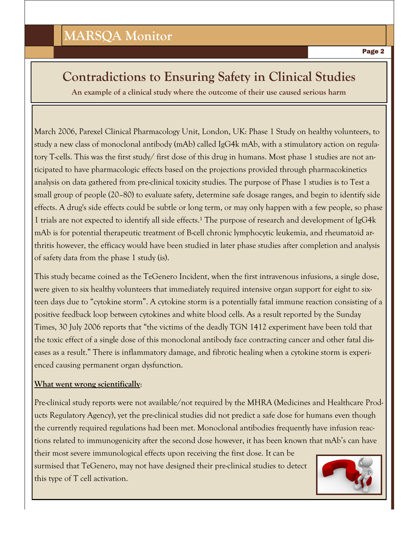### **Contradictions to Ensuring Safety in Clinical Studies**

**An example of a clinical study where the outcome of their use caused serious harm**

March 2006, Parexel Clinical Pharmacology Unit, London, UK: Phase 1 Study on healthy volunteers, to study a new class of monoclonal antibody (mAb) called IgG4k mAb, with a stimulatory action on regulatory T-cells. This was the first study/ first dose of this drug in humans. Most phase 1 studies are not anticipated to have pharmacologic effects based on the projections provided through pharmacokinetics analysis on data gathered from pre-clinical toxicity studies. The purpose of Phase 1 studies is to Test a small group of people (20–80) to evaluate safety, determine safe dosage ranges, and begin to identify side effects. A drug's side effects could be subtle or long term, or may only happen with a few people, so phase 1 trials are not expected to identify all side effects.<sup>1</sup> The purpose of research and development of IgG4 $k$ mAb is for potential therapeutic treatment of B-cell chronic lymphocytic leukemia, and rheumatoid arthritis however, the efficacy would have been studied in later phase studies after completion and analysis of safety data from the phase 1 study (is).

This study became coined as the TeGenero Incident, when the first intravenous infusions, a single dose, were given to six healthy volunteers that immediately required intensive organ support for eight to sixteen days due to "cytokine storm". A cytokine storm is a potentially fatal immune reaction consisting of a positive feedback loop between cytokines and white blood cells. As a result reported by the Sunday Times, 30 July 2006 reports that "the victims of the deadly TGN 1412 experiment have been told that the toxic effect of a single dose of this monoclonal antibody face contracting cancer and other fatal diseases as a result." There is inflammatory damage, and fibrotic healing when a cytokine storm is experienced causing permanent organ dysfunction.

#### **What went wrong scientifically**:

Pre-clinical study reports were not available/not required by the MHRA (Medicines and Healthcare Products Regulatory Agency), yet the pre-clinical studies did not predict a safe dose for humans even though the currently required regulations had been met. Monoclonal antibodies frequently have infusion reactions related to immunogenicity after the second dose however, it has been known that mAb's can have their most severe immunological effects upon receiving the first dose. It can be

surmised that TeGenero, may not have designed their pre-clinical studies to detect this type of T cell activation.

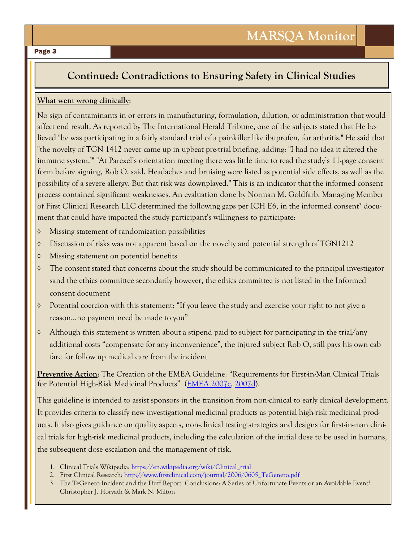#### Page 3

#### **Continued: Contradictions to Ensuring Safety in Clinical Studies**

#### **What went wrong clinically**:

No sign of contaminants in or errors in manufacturing, formulation, dilution, or administration that would affect end result. As reported by The International Herald Tribune, one of the subjects stated that He believed "he was participating in a fairly standard trial of a painkiller like ibuprofen, for arthritis." He said that "the novelty of TGN 1412 never came up in upbeat pre-trial briefing, adding: "I had no idea it altered the immune system.'" "At Parexel's orientation meeting there was little time to read the study's 11-page consent form before signing, Rob O. said. Headaches and bruising were listed as potential side effects, as well as the possibility of a severe allergy. But that risk was downplayed." This is an indicator that the informed consent process contained significant weaknesses. An evaluation done by Norman M. Goldfarb, Managing Member of First Clinical Research LLC determined the following gaps per ICH E6, in the informed consent² document that could have impacted the study participant's willingness to participate:

- Missing statement of randomization possibilities
- Discussion of risks was not apparent based on the novelty and potential strength of TGN1212
- Missing statement on potential benefits
- The consent stated that concerns about the study should be communicated to the principal investigator sand the ethics committee secondarily however, the ethics committee is not listed in the Informed consent document
- Potential coercion with this statement: "If you leave the study and exercise your right to not give a reason…no payment need be made to you"
- $\Diamond$  Although this statement is written about a stipend paid to subject for participating in the trial/any additional costs "compensate for any inconvenience", the injured subject Rob O, still pays his own cab fare for follow up medical care from the incident

**Preventive Action**: The Creation of the EMEA Guideline: "Requirements for First-in-Man Clinical Trials for Potential High-Risk Medicinal Products" [\(EMEA 2007c,](http://tpx.sagepub.com/content/37/3/363.full#ref-8) [2007d\).](http://tpx.sagepub.com/content/37/3/363.full#ref-9)

This guideline is intended to assist sponsors in the transition from non-clinical to early clinical development. It provides criteria to classify new investigational medicinal products as potential high-risk medicinal products. It also gives guidance on quality aspects, non-clinical testing strategies and designs for first-in-man clinical trials for high-risk medicinal products, including the calculation of the initial dose to be used in humans, the subsequent dose escalation and the management of risk.

- 1. Clinical Trials Wikipedia: [https://en.wikipedia.org/wiki/Clinical\\_trial](https://en.wikipedia.org/wiki/Clinical_trial)
- 2. First Clinical Research: [http://www.firstclinical.com/journal/2006/0605\\_TeGenero.pdf](http://www.firstclinical.com/journal/2006/0605_TeGenero.pdf)
- 3. The TeGenero Incident and the Duff Report Conclusions: A Series of Unfortunate Events or an Avoidable Event? Christopher J. Horvath & Mark N. Milton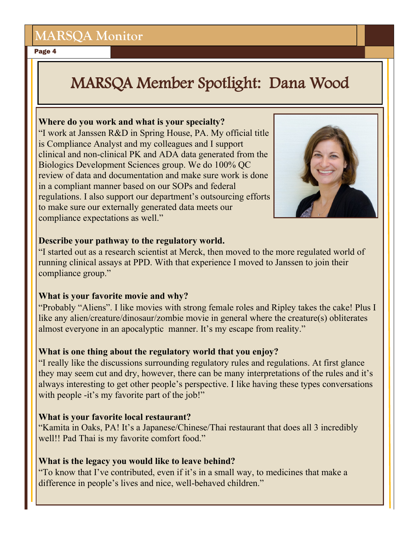## **MARSQA Monitor**

Page 4

# MARSQA Member Spotlight: Dana Wood

#### **Where do you work and what is your specialty?**

"I work at Janssen R&D in Spring House, PA. My official title is Compliance Analyst and my colleagues and I support clinical and non-clinical PK and ADA data generated from the Biologics Development Sciences group. We do 100% QC review of data and documentation and make sure work is done in a compliant manner based on our SOPs and federal regulations. I also support our department's outsourcing efforts to make sure our externally generated data meets our compliance expectations as well."



#### **Describe your pathway to the regulatory world.**

"I started out as a research scientist at Merck, then moved to the more regulated world of running clinical assays at PPD. With that experience I moved to Janssen to join their compliance group."

#### **What is your favorite movie and why?**

"Probably "Aliens". I like movies with strong female roles and Ripley takes the cake! Plus I like any alien/creature/dinosaur/zombie movie in general where the creature(s) obliterates almost everyone in an apocalyptic manner. It's my escape from reality."

### **What is one thing about the regulatory world that you enjoy?**

"I really like the discussions surrounding regulatory rules and regulations. At first glance they may seem cut and dry, however, there can be many interpretations of the rules and it's always interesting to get other people's perspective. I like having these types conversations with people -it's my favorite part of the job!"

### **What is your favorite local restaurant?**

"Kamita in Oaks, PA! It's a Japanese/Chinese/Thai restaurant that does all 3 incredibly well!! Pad Thai is my favorite comfort food."

### **What is the legacy you would like to leave behind?**

"To know that I've contributed, even if it's in a small way, to medicines that make a difference in people's lives and nice, well-behaved children."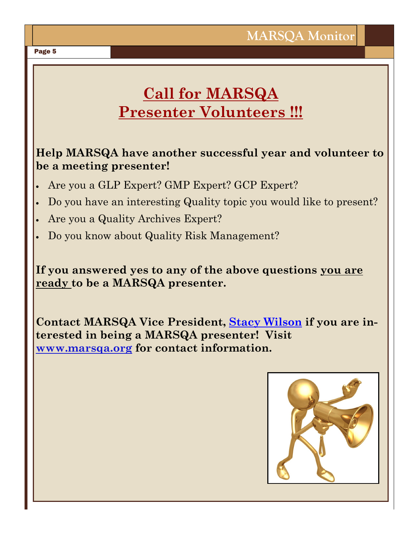## **Call for MARSQA Presenter Volunteers !!!**

### **Help MARSQA have another successful year and volunteer to be a meeting presenter!**

- Are you a GLP Expert? GMP Expert? GCP Expert?
- Do you have an interesting Quality topic you would like to present?
- Are you a Quality Archives Expert?
- Do you know about Quality Risk Management?

**If you answered yes to any of the above questions you are ready to be a MARSQA presenter.** 

**Contact MARSQA Vice President, [Stacy Wilson](mailto:stacy.wilson@crl.com?subject=MARSQA%20Award/Scholarship%20Application) if you are interested in being a MARSQA presenter! Visit [www.marsqa.org](http://www.marsqa.org/) for contact information.**



#### Page 5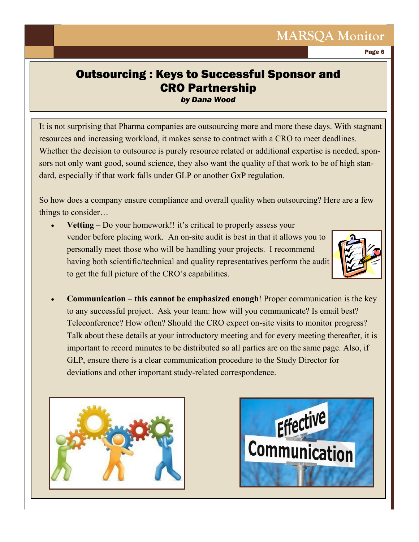## **MARSQA Monitor**

Page 6

### Outsourcing : Keys to Successful Sponsor and CRO Partnership *by Dana Wood*

It is not surprising that Pharma companies are outsourcing more and more these days. With stagnant resources and increasing workload, it makes sense to contract with a CRO to meet deadlines. Whether the decision to outsource is purely resource related or additional expertise is needed, sponsors not only want good, sound science, they also want the quality of that work to be of high standard, especially if that work falls under GLP or another GxP regulation.

So how does a company ensure compliance and overall quality when outsourcing? Here are a few things to consider…

**Vetting** – Do your homework!! it's critical to properly assess your vendor before placing work. An on-site audit is best in that it allows you to personally meet those who will be handling your projects. I recommend having both scientific/technical and quality representatives perform the audit to get the full picture of the CRO's capabilities.



 **Communication** – **this cannot be emphasized enough**! Proper communication is the key to any successful project. Ask your team: how will you communicate? Is email best? Teleconference? How often? Should the CRO expect on-site visits to monitor progress? Talk about these details at your introductory meeting and for every meeting thereafter, it is important to record minutes to be distributed so all parties are on the same page. Also, if GLP, ensure there is a clear communication procedure to the Study Director for deviations and other important study-related correspondence.



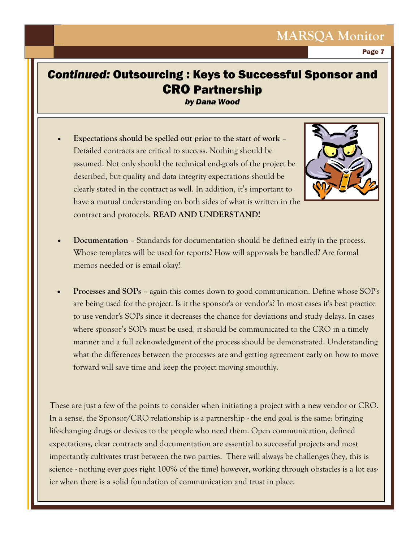Page 7

### *Continued:* Outsourcing : Keys to Successful Sponsor and CRO Partnership

*by Dana Wood*

 **Expectations should be spelled out prior to the start of work** – Detailed contracts are critical to success. Nothing should be assumed. Not only should the technical end-goals of the project be described, but quality and data integrity expectations should be clearly stated in the contract as well. In addition, it's important to have a mutual understanding on both sides of what is written in the contract and protocols. **READ AND UNDERSTAND!**



- **Documentation**  Standards for documentation should be defined early in the process. Whose templates will be used for reports? How will approvals be handled? Are formal memos needed or is email okay?
- **Processes and SOPs** again this comes down to good communication. Define whose SOP's are being used for the project. Is it the sponsor's or vendor's? In most cases it's best practice to use vendor's SOPs since it decreases the chance for deviations and study delays. In cases where sponsor's SOPs must be used, it should be communicated to the CRO in a timely manner and a full acknowledgment of the process should be demonstrated. Understanding what the differences between the processes are and getting agreement early on how to move forward will save time and keep the project moving smoothly.

These are just a few of the points to consider when initiating a project with a new vendor or CRO. In a sense, the Sponsor/CRO relationship is a partnership - the end goal is the same: bringing life-changing drugs or devices to the people who need them. Open communication, defined expectations, clear contracts and documentation are essential to successful projects and most importantly cultivates trust between the two parties. There will always be challenges (hey, this is science - nothing ever goes right 100% of the time) however, working through obstacles is a lot easier when there is a solid foundation of communication and trust in place.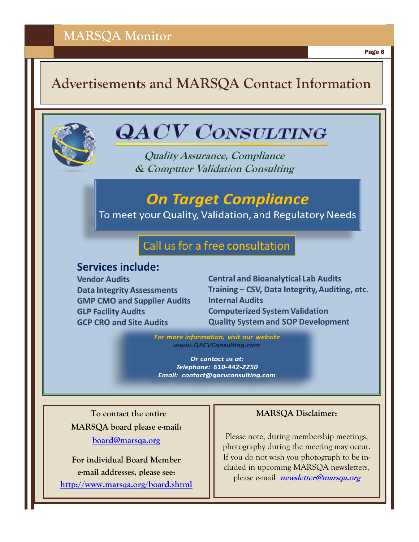Page 8

## **Advertisements and MARSQA Contact Information**



# **QACV CONSULTING**

**Quality Assurance, Compliance & Computer Validation Consulting**

## **On Target Compliance**

To meet your Quality, Validation, and Regulatory Needs

### Call us for a free consultation

### **Services include:**

**Vendor Audits Data Integrity Assessments GMP CMO and Supplier Audits GLP Facility Audits GCP CRO and Site Audits** 

**Central and Bioanalytical Lab Audits** Training - CSV, Data Integrity, Auditing, etc. **Internal Audits Computerized System Validation Quality System and SOP Development** 

For more information, visit our website www.QACVConsulting.com

Or contact us at: Telephone: 610-442-2250 Email: contact@qacvconsulting.com

 **To contact the entire MARSQA board please e-mail: [board@marsqa.org](mailto:board@marsqa.org)**

**For individual Board Member e-mail addresses, please see: <http://www.marsqa.org/board.shtml>**

#### **MARSQA Disclaimer:**

Please note, during membership meetings, photography during the meeting may occur. If you do not wish you photograph to be included in upcoming MARSQA newsletters, please e-mail **[newsletter@marsqa.org](mailto:newsletter@marsqa.org)**